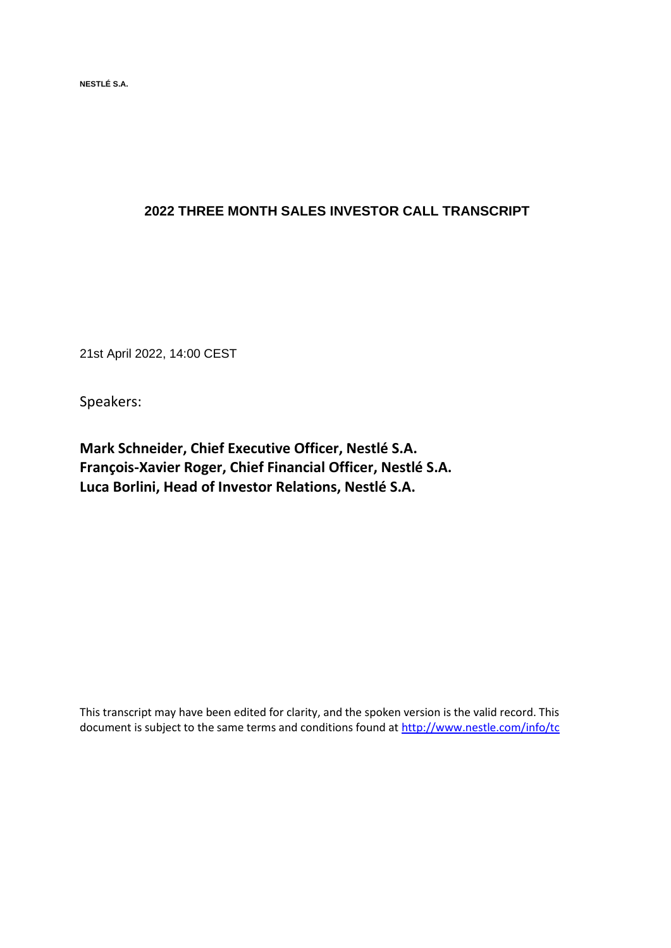**NESTLÉ S.A.** 

# **2022 THREE MONTH SALES INVESTOR CALL TRANSCRIPT**

21st April 2022, 14:00 CEST

Speakers:

**Mark Schneider, Chief Executive Officer, Nestlé S.A. François-Xavier Roger, Chief Financial Officer, Nestlé S.A. Luca Borlini, Head of Investor Relations, Nestlé S.A.**

This transcript may have been edited for clarity, and the spoken version is the valid record. This document is subject to the same terms and conditions found at<http://www.nestle.com/info/tc>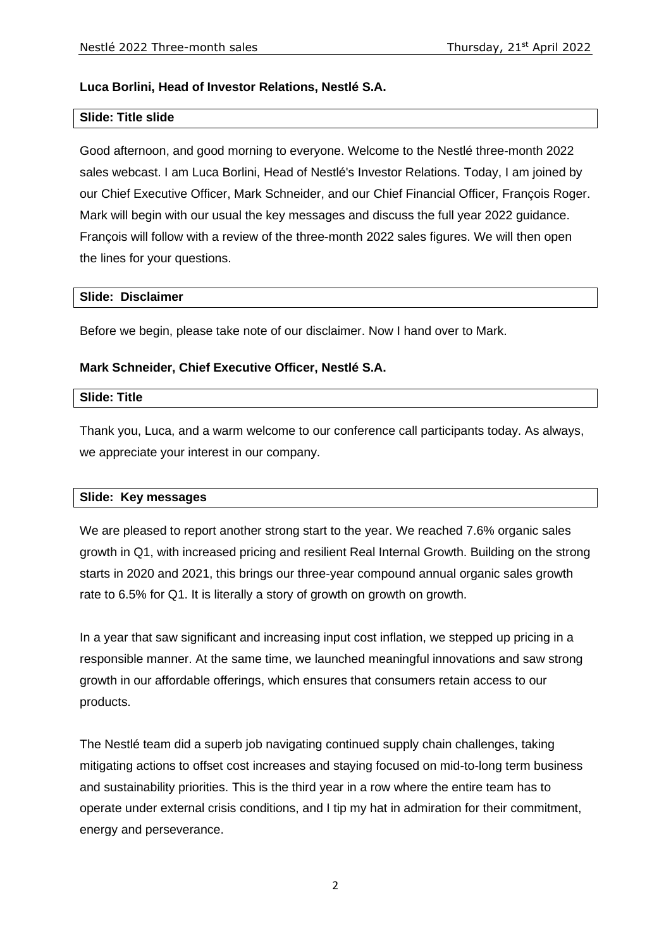### **Luca Borlini, Head of Investor Relations, Nestlé S.A.**

### **Slide: Title slide**

Good afternoon, and good morning to everyone. Welcome to the Nestlé three-month 2022 sales webcast. I am Luca Borlini, Head of Nestlé's Investor Relations. Today, I am joined by our Chief Executive Officer, Mark Schneider, and our Chief Financial Officer, François Roger. Mark will begin with our usual the key messages and discuss the full year 2022 guidance. François will follow with a review of the three-month 2022 sales figures. We will then open the lines for your questions.

#### **Slide: Disclaimer**

Before we begin, please take note of our disclaimer. Now I hand over to Mark.

### **Mark Schneider, Chief Executive Officer, Nestlé S.A.**

#### **Slide: Title**

Thank you, Luca, and a warm welcome to our conference call participants today. As always, we appreciate your interest in our company.

### **Slide: Key messages**

We are pleased to report another strong start to the year. We reached 7.6% organic sales growth in Q1, with increased pricing and resilient Real Internal Growth. Building on the strong starts in 2020 and 2021, this brings our three-year compound annual organic sales growth rate to 6.5% for Q1. It is literally a story of growth on growth on growth.

In a year that saw significant and increasing input cost inflation, we stepped up pricing in a responsible manner. At the same time, we launched meaningful innovations and saw strong growth in our affordable offerings, which ensures that consumers retain access to our products.

The Nestlé team did a superb job navigating continued supply chain challenges, taking mitigating actions to offset cost increases and staying focused on mid-to-long term business and sustainability priorities. This is the third year in a row where the entire team has to operate under external crisis conditions, and I tip my hat in admiration for their commitment, energy and perseverance.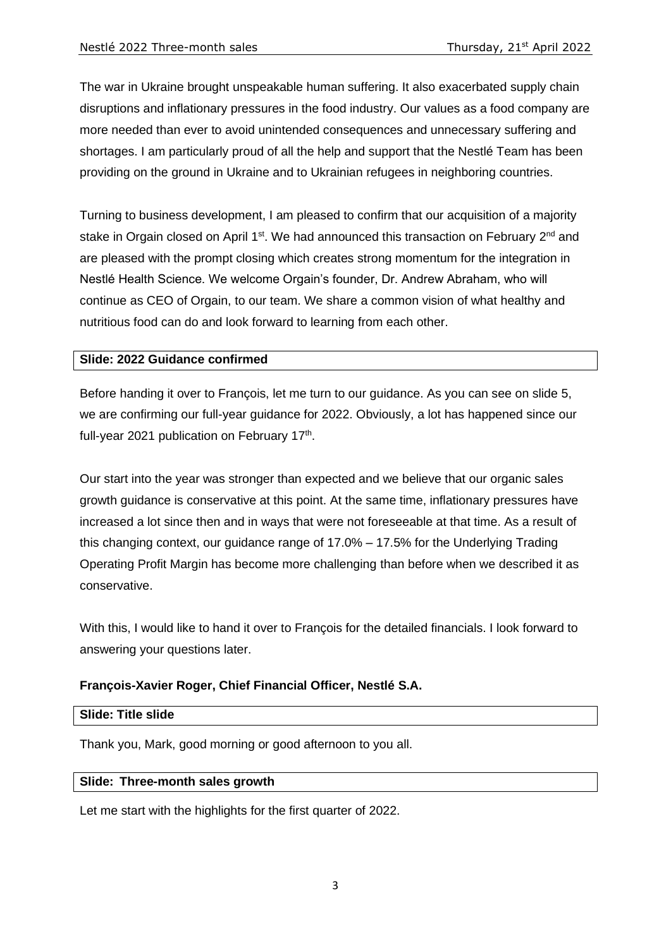The war in Ukraine brought unspeakable human suffering. It also exacerbated supply chain disruptions and inflationary pressures in the food industry. Our values as a food company are more needed than ever to avoid unintended consequences and unnecessary suffering and shortages. I am particularly proud of all the help and support that the Nestlé Team has been providing on the ground in Ukraine and to Ukrainian refugees in neighboring countries.

Turning to business development, I am pleased to confirm that our acquisition of a majority stake in Orgain closed on April 1<sup>st</sup>. We had announced this transaction on February  $2^{nd}$  and are pleased with the prompt closing which creates strong momentum for the integration in Nestlé Health Science. We welcome Orgain's founder, Dr. Andrew Abraham, who will continue as CEO of Orgain, to our team. We share a common vision of what healthy and nutritious food can do and look forward to learning from each other.

### **Slide: 2022 Guidance confirmed**

Before handing it over to François, let me turn to our guidance. As you can see on slide 5, we are confirming our full-year guidance for 2022. Obviously, a lot has happened since our full-year 2021 publication on February 17<sup>th</sup>.

Our start into the year was stronger than expected and we believe that our organic sales growth guidance is conservative at this point. At the same time, inflationary pressures have increased a lot since then and in ways that were not foreseeable at that time. As a result of this changing context, our guidance range of 17.0% – 17.5% for the Underlying Trading Operating Profit Margin has become more challenging than before when we described it as conservative.

With this, I would like to hand it over to François for the detailed financials. I look forward to answering your questions later.

### **François-Xavier Roger, Chief Financial Officer, Nestlé S.A.**

#### **Slide: Title slide**

Thank you, Mark, good morning or good afternoon to you all.

#### **Slide: Three-month sales growth**

Let me start with the highlights for the first quarter of 2022.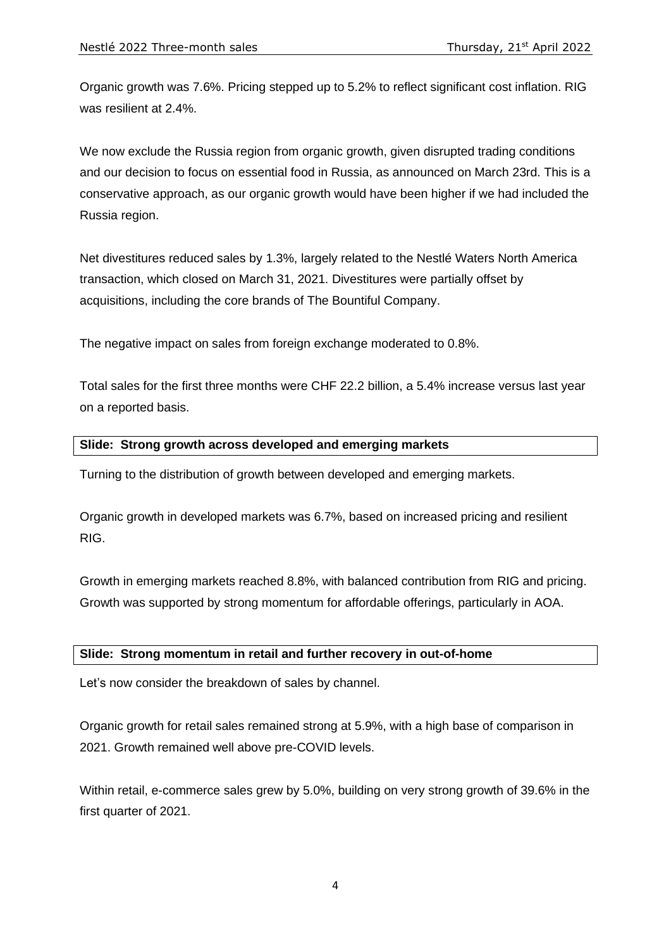Organic growth was 7.6%. Pricing stepped up to 5.2% to reflect significant cost inflation. RIG was resilient at 2.4%.

We now exclude the Russia region from organic growth, given disrupted trading conditions and our decision to focus on essential food in Russia, as announced on March 23rd. This is a conservative approach, as our organic growth would have been higher if we had included the Russia region.

Net divestitures reduced sales by 1.3%, largely related to the Nestlé Waters North America transaction, which closed on March 31, 2021. Divestitures were partially offset by acquisitions, including the core brands of The Bountiful Company.

The negative impact on sales from foreign exchange moderated to 0.8%.

Total sales for the first three months were CHF 22.2 billion, a 5.4% increase versus last year on a reported basis.

# **Slide: Strong growth across developed and emerging markets**

Turning to the distribution of growth between developed and emerging markets.

Organic growth in developed markets was 6.7%, based on increased pricing and resilient RIG.

Growth in emerging markets reached 8.8%, with balanced contribution from RIG and pricing. Growth was supported by strong momentum for affordable offerings, particularly in AOA.

### **Slide: Strong momentum in retail and further recovery in out-of-home**

Let's now consider the breakdown of sales by channel.

Organic growth for retail sales remained strong at 5.9%, with a high base of comparison in 2021. Growth remained well above pre-COVID levels.

Within retail, e-commerce sales grew by 5.0%, building on very strong growth of 39.6% in the first quarter of 2021.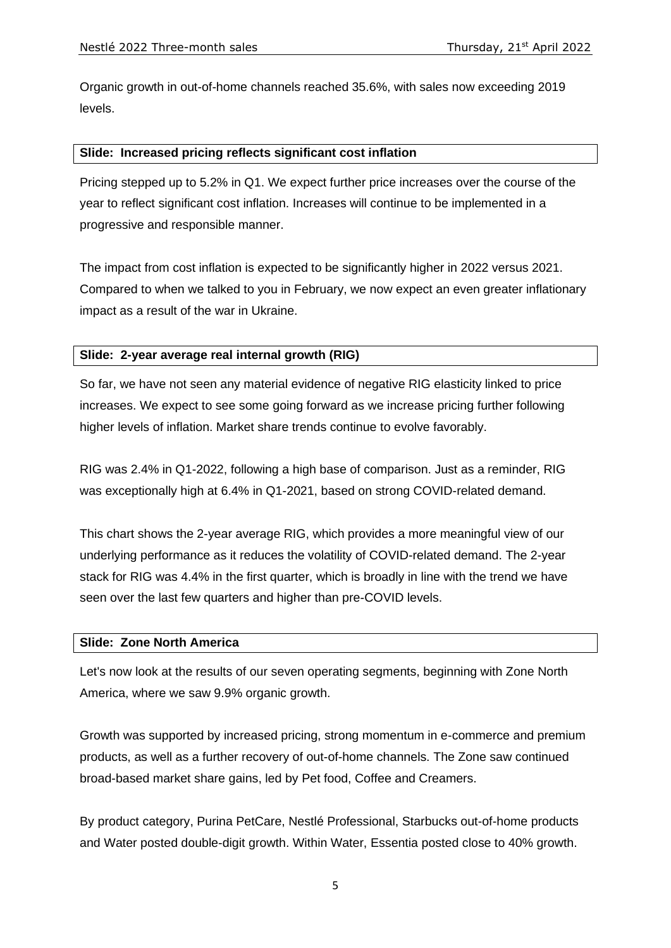Organic growth in out-of-home channels reached 35.6%, with sales now exceeding 2019 levels.

#### **Slide: Increased pricing reflects significant cost inflation**

Pricing stepped up to 5.2% in Q1. We expect further price increases over the course of the year to reflect significant cost inflation. Increases will continue to be implemented in a progressive and responsible manner.

The impact from cost inflation is expected to be significantly higher in 2022 versus 2021. Compared to when we talked to you in February, we now expect an even greater inflationary impact as a result of the war in Ukraine.

### **Slide: 2-year average real internal growth (RIG)**

So far, we have not seen any material evidence of negative RIG elasticity linked to price increases. We expect to see some going forward as we increase pricing further following higher levels of inflation. Market share trends continue to evolve favorably.

RIG was 2.4% in Q1-2022, following a high base of comparison. Just as a reminder, RIG was exceptionally high at 6.4% in Q1-2021, based on strong COVID-related demand.

This chart shows the 2-year average RIG, which provides a more meaningful view of our underlying performance as it reduces the volatility of COVID-related demand. The 2-year stack for RIG was 4.4% in the first quarter, which is broadly in line with the trend we have seen over the last few quarters and higher than pre-COVID levels.

### **Slide: Zone North America**

Let's now look at the results of our seven operating segments, beginning with Zone North America, where we saw 9.9% organic growth.

Growth was supported by increased pricing, strong momentum in e-commerce and premium products, as well as a further recovery of out-of-home channels. The Zone saw continued broad-based market share gains, led by Pet food, Coffee and Creamers.

By product category, Purina PetCare, Nestlé Professional, Starbucks out-of-home products and Water posted double-digit growth. Within Water, Essentia posted close to 40% growth.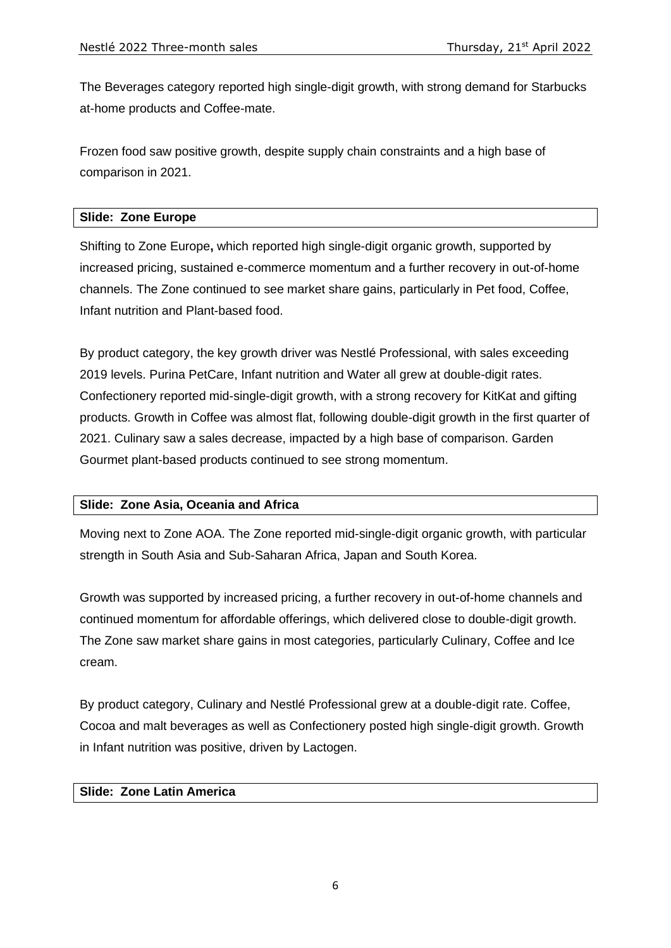The Beverages category reported high single-digit growth, with strong demand for Starbucks at-home products and Coffee-mate.

Frozen food saw positive growth, despite supply chain constraints and a high base of comparison in 2021.

### **Slide: Zone Europe**

Shifting to Zone Europe**,** which reported high single-digit organic growth, supported by increased pricing, sustained e-commerce momentum and a further recovery in out-of-home channels. The Zone continued to see market share gains, particularly in Pet food, Coffee, Infant nutrition and Plant-based food.

By product category, the key growth driver was Nestlé Professional, with sales exceeding 2019 levels. Purina PetCare, Infant nutrition and Water all grew at double-digit rates. Confectionery reported mid-single-digit growth, with a strong recovery for KitKat and gifting products. Growth in Coffee was almost flat, following double-digit growth in the first quarter of 2021. Culinary saw a sales decrease, impacted by a high base of comparison. Garden Gourmet plant-based products continued to see strong momentum.

### **Slide: Zone Asia, Oceania and Africa**

Moving next to Zone AOA. The Zone reported mid-single-digit organic growth, with particular strength in South Asia and Sub-Saharan Africa, Japan and South Korea.

Growth was supported by increased pricing, a further recovery in out-of-home channels and continued momentum for affordable offerings, which delivered close to double-digit growth. The Zone saw market share gains in most categories, particularly Culinary, Coffee and Ice cream.

By product category, Culinary and Nestlé Professional grew at a double-digit rate. Coffee, Cocoa and malt beverages as well as Confectionery posted high single-digit growth. Growth in Infant nutrition was positive, driven by Lactogen.

### **Slide: Zone Latin America**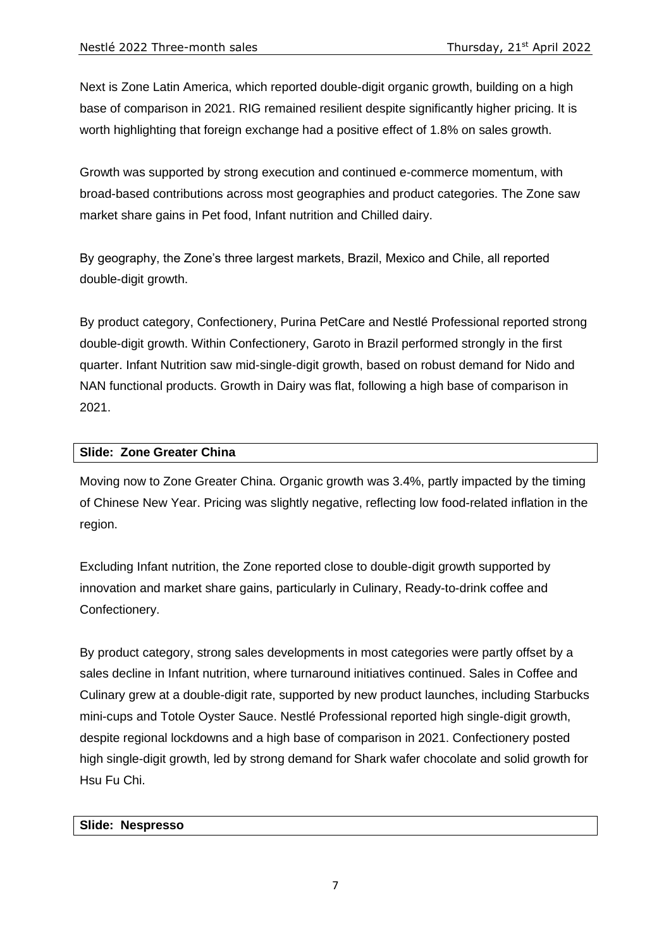Next is Zone Latin America, which reported double-digit organic growth, building on a high base of comparison in 2021. RIG remained resilient despite significantly higher pricing. It is worth highlighting that foreign exchange had a positive effect of 1.8% on sales growth.

Growth was supported by strong execution and continued e-commerce momentum, with broad-based contributions across most geographies and product categories. The Zone saw market share gains in Pet food, Infant nutrition and Chilled dairy.

By geography, the Zone's three largest markets, Brazil, Mexico and Chile, all reported double-digit growth.

By product category, Confectionery, Purina PetCare and Nestlé Professional reported strong double-digit growth. Within Confectionery, Garoto in Brazil performed strongly in the first quarter. Infant Nutrition saw mid-single-digit growth, based on robust demand for Nido and NAN functional products. Growth in Dairy was flat, following a high base of comparison in 2021.

# **Slide: Zone Greater China**

Moving now to Zone Greater China. Organic growth was 3.4%, partly impacted by the timing of Chinese New Year. Pricing was slightly negative, reflecting low food-related inflation in the region.

Excluding Infant nutrition, the Zone reported close to double-digit growth supported by innovation and market share gains, particularly in Culinary, Ready-to-drink coffee and Confectionery.

By product category, strong sales developments in most categories were partly offset by a sales decline in Infant nutrition, where turnaround initiatives continued. Sales in Coffee and Culinary grew at a double-digit rate, supported by new product launches, including Starbucks mini-cups and Totole Oyster Sauce. Nestlé Professional reported high single-digit growth, despite regional lockdowns and a high base of comparison in 2021. Confectionery posted high single-digit growth, led by strong demand for Shark wafer chocolate and solid growth for Hsu Fu Chi.

# **Slide: Nespresso**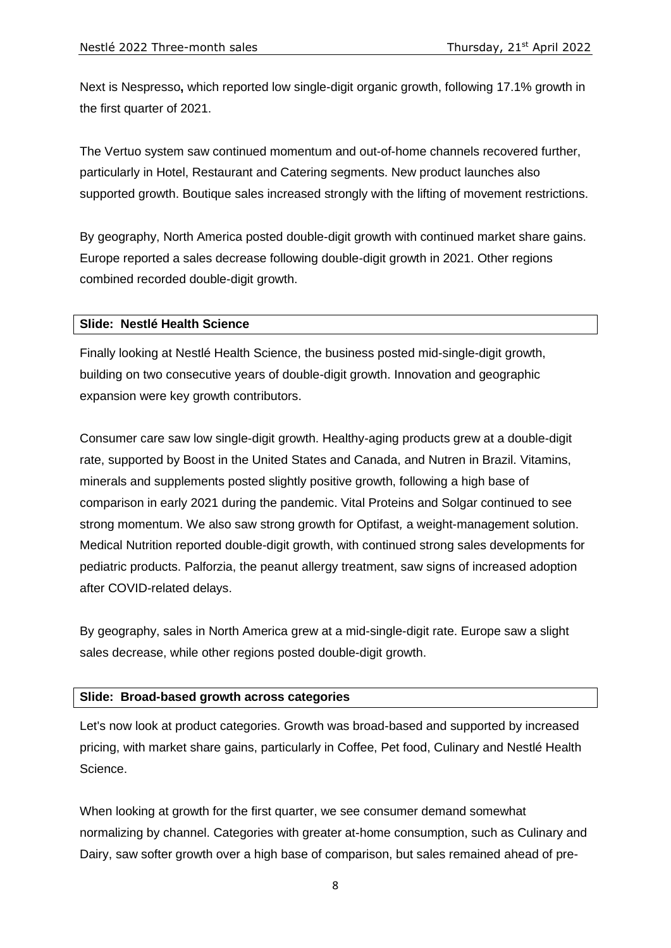Next is Nespresso**,** which reported low single-digit organic growth, following 17.1% growth in the first quarter of 2021.

The Vertuo system saw continued momentum and out-of-home channels recovered further, particularly in Hotel, Restaurant and Catering segments. New product launches also supported growth. Boutique sales increased strongly with the lifting of movement restrictions.

By geography, North America posted double-digit growth with continued market share gains. Europe reported a sales decrease following double-digit growth in 2021. Other regions combined recorded double-digit growth.

#### **Slide: Nestlé Health Science**

Finally looking at Nestlé Health Science, the business posted mid-single-digit growth, building on two consecutive years of double-digit growth. Innovation and geographic expansion were key growth contributors.

Consumer care saw low single-digit growth. Healthy-aging products grew at a double-digit rate, supported by Boost in the United States and Canada, and Nutren in Brazil. Vitamins, minerals and supplements posted slightly positive growth, following a high base of comparison in early 2021 during the pandemic. Vital Proteins and Solgar continued to see strong momentum. We also saw strong growth for Optifast*,* a weight-management solution. Medical Nutrition reported double-digit growth, with continued strong sales developments for pediatric products. Palforzia, the peanut allergy treatment, saw signs of increased adoption after COVID-related delays.

By geography, sales in North America grew at a mid-single-digit rate. Europe saw a slight sales decrease, while other regions posted double-digit growth.

### **Slide: Broad-based growth across categories**

Let's now look at product categories. Growth was broad-based and supported by increased pricing, with market share gains, particularly in Coffee, Pet food, Culinary and Nestlé Health Science.

When looking at growth for the first quarter, we see consumer demand somewhat normalizing by channel. Categories with greater at-home consumption, such as Culinary and Dairy, saw softer growth over a high base of comparison, but sales remained ahead of pre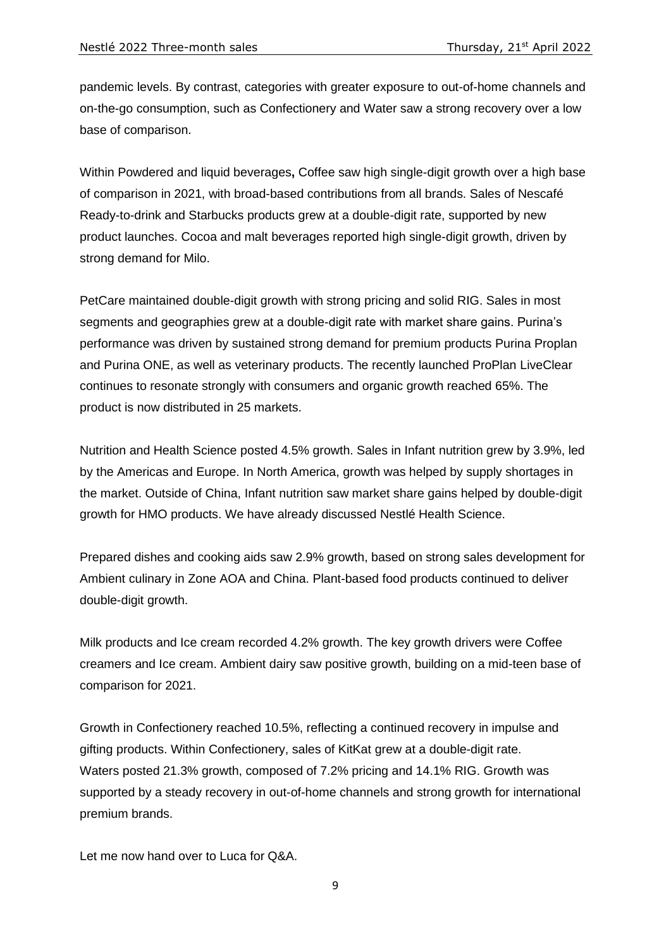pandemic levels. By contrast, categories with greater exposure to out-of-home channels and on-the-go consumption, such as Confectionery and Water saw a strong recovery over a low base of comparison.

Within Powdered and liquid beverages**,** Coffee saw high single-digit growth over a high base of comparison in 2021, with broad-based contributions from all brands. Sales of Nescafé Ready-to-drink and Starbucks products grew at a double-digit rate, supported by new product launches. Cocoa and malt beverages reported high single-digit growth, driven by strong demand for Milo.

PetCare maintained double-digit growth with strong pricing and solid RIG. Sales in most segments and geographies grew at a double-digit rate with market share gains. Purina's performance was driven by sustained strong demand for premium products Purina Proplan and Purina ONE, as well as veterinary products. The recently launched ProPlan LiveClear continues to resonate strongly with consumers and organic growth reached 65%. The product is now distributed in 25 markets.

Nutrition and Health Science posted 4.5% growth. Sales in Infant nutrition grew by 3.9%, led by the Americas and Europe. In North America, growth was helped by supply shortages in the market. Outside of China, Infant nutrition saw market share gains helped by double-digit growth for HMO products. We have already discussed Nestlé Health Science.

Prepared dishes and cooking aids saw 2.9% growth, based on strong sales development for Ambient culinary in Zone AOA and China. Plant-based food products continued to deliver double-digit growth.

Milk products and Ice cream recorded 4.2% growth. The key growth drivers were Coffee creamers and Ice cream. Ambient dairy saw positive growth, building on a mid-teen base of comparison for 2021.

Growth in Confectionery reached 10.5%, reflecting a continued recovery in impulse and gifting products. Within Confectionery, sales of KitKat grew at a double-digit rate. Waters posted 21.3% growth, composed of 7.2% pricing and 14.1% RIG. Growth was supported by a steady recovery in out-of-home channels and strong growth for international premium brands.

Let me now hand over to Luca for Q&A.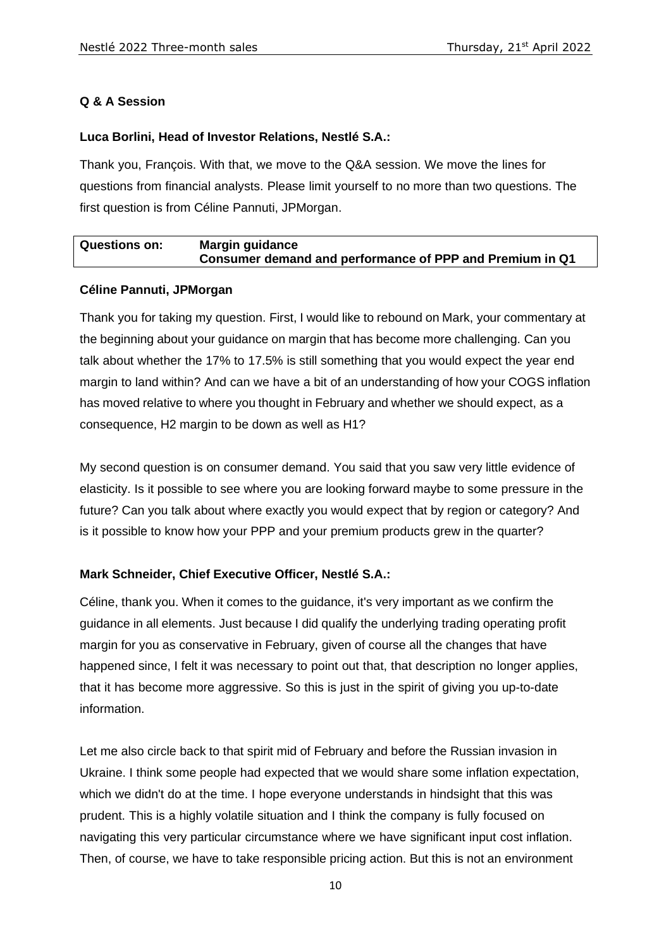# **Q & A Session**

### **Luca Borlini, Head of Investor Relations, Nestlé S.A.:**

Thank you, François. With that, we move to the Q&A session. We move the lines for questions from financial analysts. Please limit yourself to no more than two questions. The first question is from Céline Pannuti, JPMorgan.

# **Questions on: Margin guidance Consumer demand and performance of PPP and Premium in Q1**

# **Céline Pannuti, JPMorgan**

Thank you for taking my question. First, I would like to rebound on Mark, your commentary at the beginning about your guidance on margin that has become more challenging. Can you talk about whether the 17% to 17.5% is still something that you would expect the year end margin to land within? And can we have a bit of an understanding of how your COGS inflation has moved relative to where you thought in February and whether we should expect, as a consequence, H2 margin to be down as well as H1?

My second question is on consumer demand. You said that you saw very little evidence of elasticity. Is it possible to see where you are looking forward maybe to some pressure in the future? Can you talk about where exactly you would expect that by region or category? And is it possible to know how your PPP and your premium products grew in the quarter?

# **Mark Schneider, Chief Executive Officer, Nestlé S.A.:**

Céline, thank you. When it comes to the guidance, it's very important as we confirm the guidance in all elements. Just because I did qualify the underlying trading operating profit margin for you as conservative in February, given of course all the changes that have happened since, I felt it was necessary to point out that, that description no longer applies, that it has become more aggressive. So this is just in the spirit of giving you up-to-date information.

Let me also circle back to that spirit mid of February and before the Russian invasion in Ukraine. I think some people had expected that we would share some inflation expectation, which we didn't do at the time. I hope everyone understands in hindsight that this was prudent. This is a highly volatile situation and I think the company is fully focused on navigating this very particular circumstance where we have significant input cost inflation. Then, of course, we have to take responsible pricing action. But this is not an environment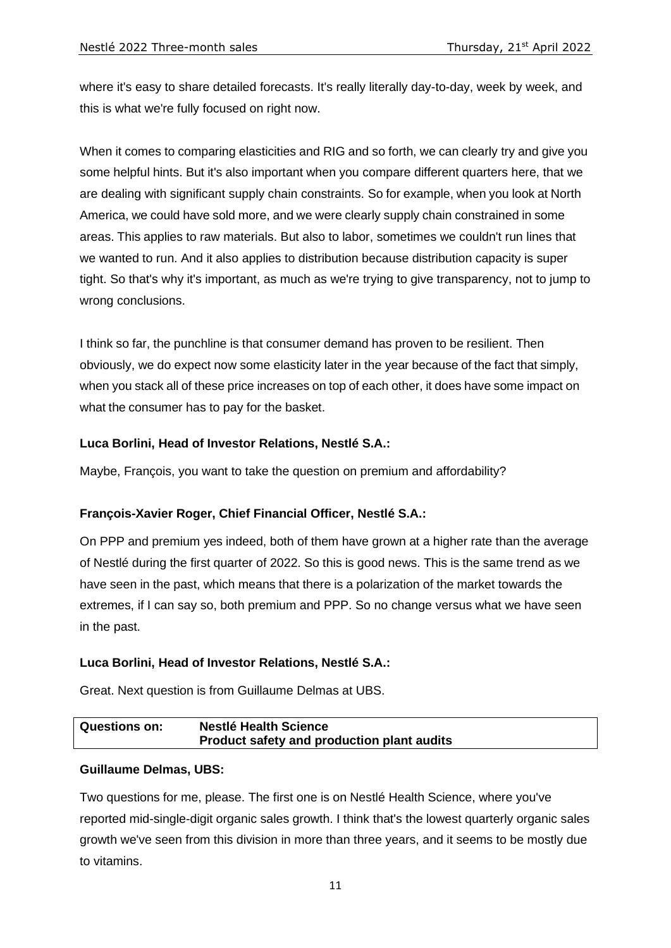where it's easy to share detailed forecasts. It's really literally day-to-day, week by week, and this is what we're fully focused on right now.

When it comes to comparing elasticities and RIG and so forth, we can clearly try and give you some helpful hints. But it's also important when you compare different quarters here, that we are dealing with significant supply chain constraints. So for example, when you look at North America, we could have sold more, and we were clearly supply chain constrained in some areas. This applies to raw materials. But also to labor, sometimes we couldn't run lines that we wanted to run. And it also applies to distribution because distribution capacity is super tight. So that's why it's important, as much as we're trying to give transparency, not to jump to wrong conclusions.

I think so far, the punchline is that consumer demand has proven to be resilient. Then obviously, we do expect now some elasticity later in the year because of the fact that simply, when you stack all of these price increases on top of each other, it does have some impact on what the consumer has to pay for the basket.

# **Luca Borlini, Head of Investor Relations, Nestlé S.A.:**

Maybe, François, you want to take the question on premium and affordability?

# **François-Xavier Roger, Chief Financial Officer, Nestlé S.A.:**

On PPP and premium yes indeed, both of them have grown at a higher rate than the average of Nestlé during the first quarter of 2022. So this is good news. This is the same trend as we have seen in the past, which means that there is a polarization of the market towards the extremes, if I can say so, both premium and PPP. So no change versus what we have seen in the past.

### **Luca Borlini, Head of Investor Relations, Nestlé S.A.:**

Great. Next question is from Guillaume Delmas at UBS.

# **Questions on: Nestlé Health Science Product safety and production plant audits**

### **Guillaume Delmas, UBS:**

Two questions for me, please. The first one is on Nestlé Health Science, where you've reported mid-single-digit organic sales growth. I think that's the lowest quarterly organic sales growth we've seen from this division in more than three years, and it seems to be mostly due to vitamins.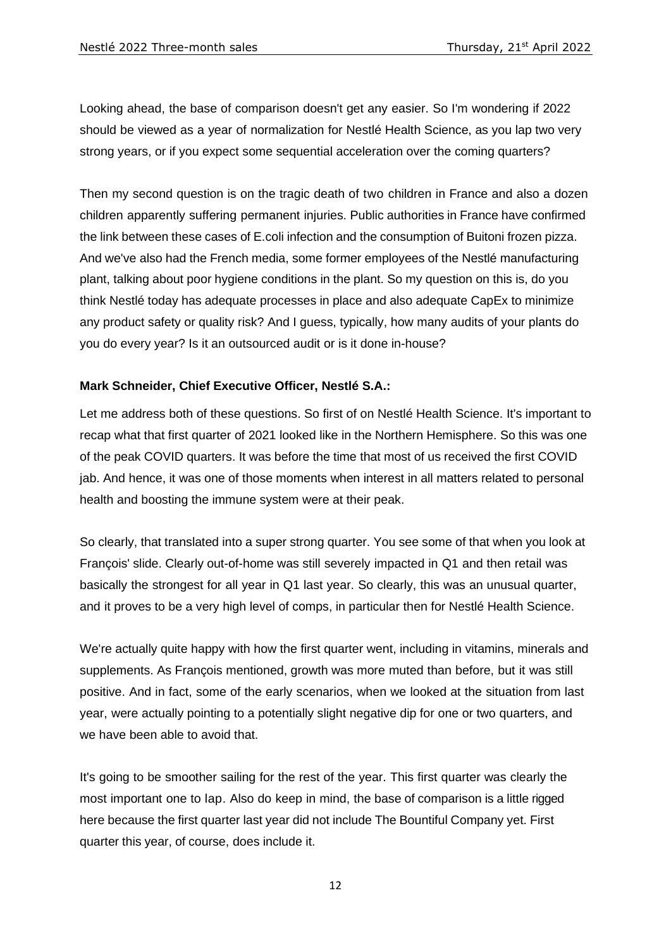Looking ahead, the base of comparison doesn't get any easier. So I'm wondering if 2022 should be viewed as a year of normalization for Nestlé Health Science, as you lap two very strong years, or if you expect some sequential acceleration over the coming quarters?

Then my second question is on the tragic death of two children in France and also a dozen children apparently suffering permanent injuries. Public authorities in France have confirmed the link between these cases of E.coli infection and the consumption of Buitoni frozen pizza. And we've also had the French media, some former employees of the Nestlé manufacturing plant, talking about poor hygiene conditions in the plant. So my question on this is, do you think Nestlé today has adequate processes in place and also adequate CapEx to minimize any product safety or quality risk? And I guess, typically, how many audits of your plants do you do every year? Is it an outsourced audit or is it done in-house?

# **Mark Schneider, Chief Executive Officer, Nestlé S.A.:**

Let me address both of these questions. So first of on Nestlé Health Science. It's important to recap what that first quarter of 2021 looked like in the Northern Hemisphere. So this was one of the peak COVID quarters. It was before the time that most of us received the first COVID jab. And hence, it was one of those moments when interest in all matters related to personal health and boosting the immune system were at their peak.

So clearly, that translated into a super strong quarter. You see some of that when you look at François' slide. Clearly out-of-home was still severely impacted in Q1 and then retail was basically the strongest for all year in Q1 last year. So clearly, this was an unusual quarter, and it proves to be a very high level of comps, in particular then for Nestlé Health Science.

We're actually quite happy with how the first quarter went, including in vitamins, minerals and supplements. As François mentioned, growth was more muted than before, but it was still positive. And in fact, some of the early scenarios, when we looked at the situation from last year, were actually pointing to a potentially slight negative dip for one or two quarters, and we have been able to avoid that.

It's going to be smoother sailing for the rest of the year. This first quarter was clearly the most important one to lap. Also do keep in mind, the base of comparison is a little rigged here because the first quarter last year did not include The Bountiful Company yet. First quarter this year, of course, does include it.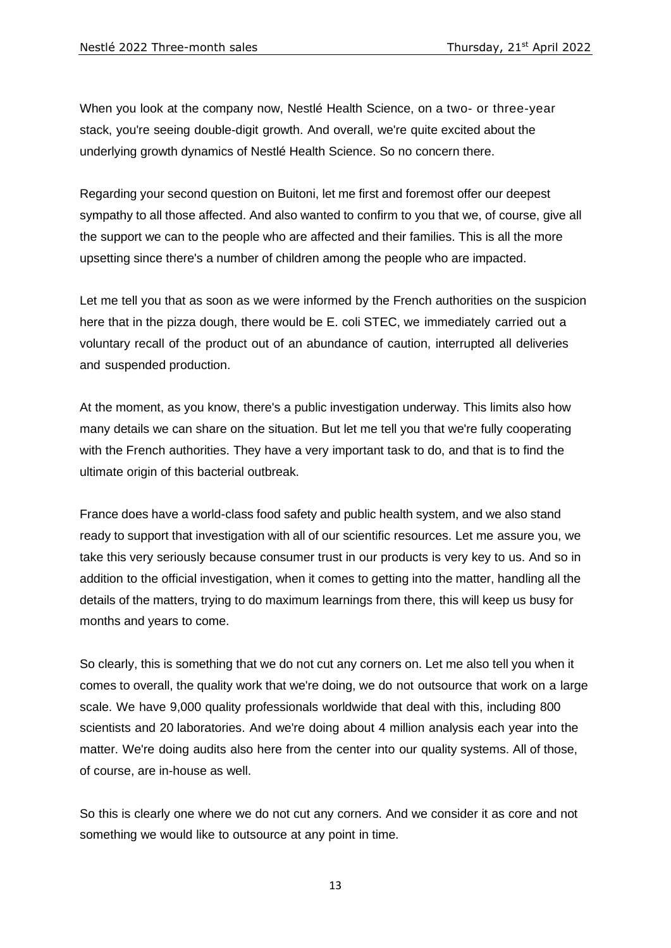When you look at the company now, Nestlé Health Science, on a two- or three-year stack, you're seeing double-digit growth. And overall, we're quite excited about the underlying growth dynamics of Nestlé Health Science. So no concern there.

Regarding your second question on Buitoni, let me first and foremost offer our deepest sympathy to all those affected. And also wanted to confirm to you that we, of course, give all the support we can to the people who are affected and their families. This is all the more upsetting since there's a number of children among the people who are impacted.

Let me tell you that as soon as we were informed by the French authorities on the suspicion here that in the pizza dough, there would be E. coli STEC, we immediately carried out a voluntary recall of the product out of an abundance of caution, interrupted all deliveries and suspended production.

At the moment, as you know, there's a public investigation underway. This limits also how many details we can share on the situation. But let me tell you that we're fully cooperating with the French authorities. They have a very important task to do, and that is to find the ultimate origin of this bacterial outbreak.

France does have a world-class food safety and public health system, and we also stand ready to support that investigation with all of our scientific resources. Let me assure you, we take this very seriously because consumer trust in our products is very key to us. And so in addition to the official investigation, when it comes to getting into the matter, handling all the details of the matters, trying to do maximum learnings from there, this will keep us busy for months and years to come.

So clearly, this is something that we do not cut any corners on. Let me also tell you when it comes to overall, the quality work that we're doing, we do not outsource that work on a large scale. We have 9,000 quality professionals worldwide that deal with this, including 800 scientists and 20 laboratories. And we're doing about 4 million analysis each year into the matter. We're doing audits also here from the center into our quality systems. All of those, of course, are in-house as well.

So this is clearly one where we do not cut any corners. And we consider it as core and not something we would like to outsource at any point in time.

13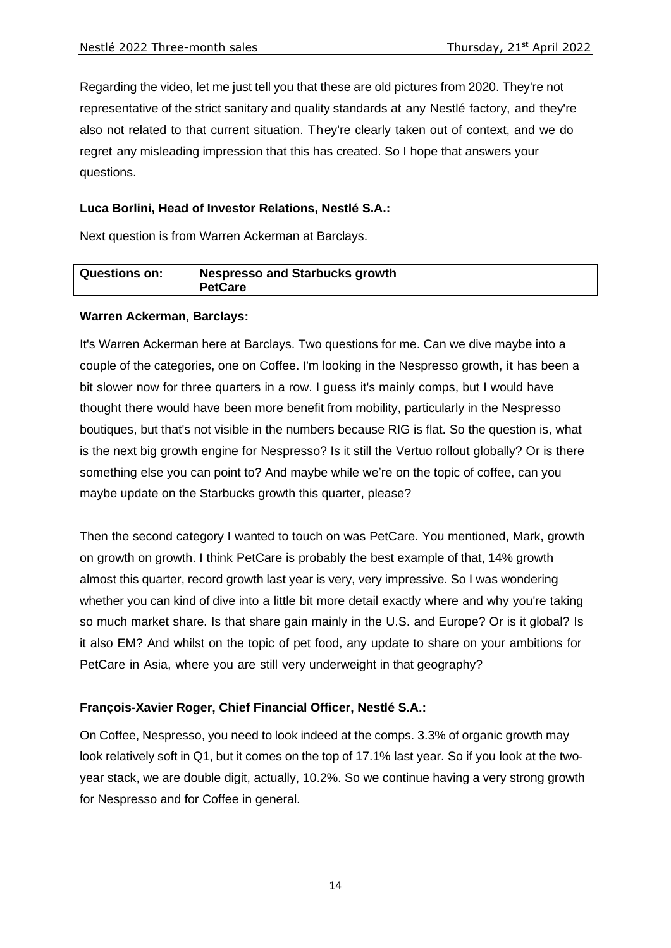Regarding the video, let me just tell you that these are old pictures from 2020. They're not representative of the strict sanitary and quality standards at any Nestlé factory, and they're also not related to that current situation. They're clearly taken out of context, and we do regret any misleading impression that this has created. So I hope that answers your questions.

### **Luca Borlini, Head of Investor Relations, Nestlé S.A.:**

Next question is from Warren Ackerman at Barclays.

| <b>Questions on:</b> | <b>Nespresso and Starbucks growth</b><br><b>PetCare</b> |
|----------------------|---------------------------------------------------------|
|                      |                                                         |

### **Warren Ackerman, Barclays:**

It's Warren Ackerman here at Barclays. Two questions for me. Can we dive maybe into a couple of the categories, one on Coffee. I'm looking in the Nespresso growth, it has been a bit slower now for three quarters in a row. I guess it's mainly comps, but I would have thought there would have been more benefit from mobility, particularly in the Nespresso boutiques, but that's not visible in the numbers because RIG is flat. So the question is, what is the next big growth engine for Nespresso? Is it still the Vertuo rollout globally? Or is there something else you can point to? And maybe while we're on the topic of coffee, can you maybe update on the Starbucks growth this quarter, please?

Then the second category I wanted to touch on was PetCare. You mentioned, Mark, growth on growth on growth. I think PetCare is probably the best example of that, 14% growth almost this quarter, record growth last year is very, very impressive. So I was wondering whether you can kind of dive into a little bit more detail exactly where and why you're taking so much market share. Is that share gain mainly in the U.S. and Europe? Or is it global? Is it also EM? And whilst on the topic of pet food, any update to share on your ambitions for PetCare in Asia, where you are still very underweight in that geography?

### **François-Xavier Roger, Chief Financial Officer, Nestlé S.A.:**

On Coffee, Nespresso, you need to look indeed at the comps. 3.3% of organic growth may look relatively soft in Q1, but it comes on the top of 17.1% last year. So if you look at the twoyear stack, we are double digit, actually, 10.2%. So we continue having a very strong growth for Nespresso and for Coffee in general.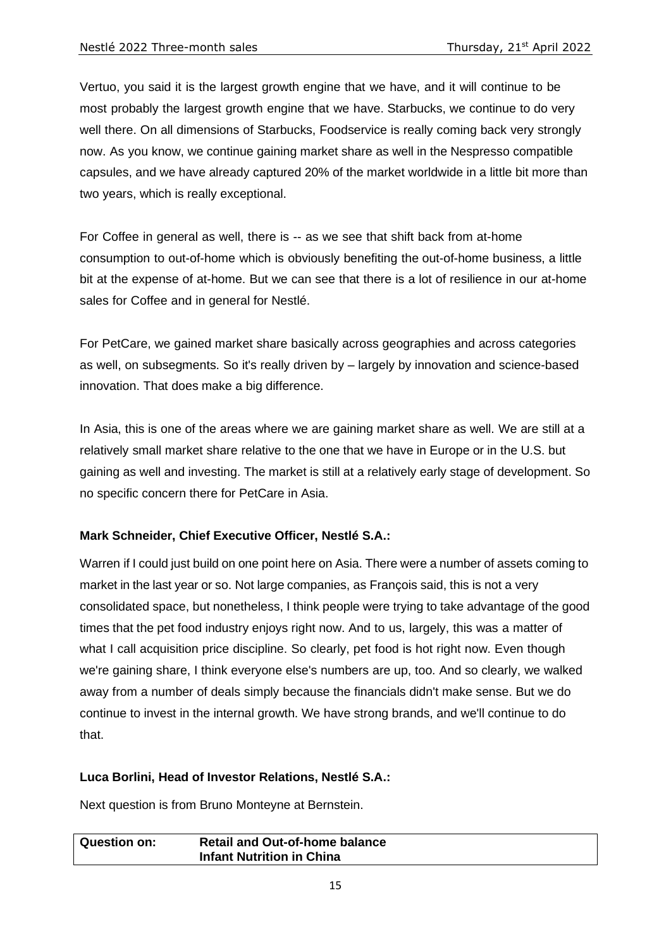Vertuo, you said it is the largest growth engine that we have, and it will continue to be most probably the largest growth engine that we have. Starbucks, we continue to do very well there. On all dimensions of Starbucks, Foodservice is really coming back very strongly now. As you know, we continue gaining market share as well in the Nespresso compatible capsules, and we have already captured 20% of the market worldwide in a little bit more than two years, which is really exceptional.

For Coffee in general as well, there is -- as we see that shift back from at-home consumption to out-of-home which is obviously benefiting the out-of-home business, a little bit at the expense of at-home. But we can see that there is a lot of resilience in our at-home sales for Coffee and in general for Nestlé.

For PetCare, we gained market share basically across geographies and across categories as well, on subsegments. So it's really driven by – largely by innovation and science-based innovation. That does make a big difference.

In Asia, this is one of the areas where we are gaining market share as well. We are still at a relatively small market share relative to the one that we have in Europe or in the U.S. but gaining as well and investing. The market is still at a relatively early stage of development. So no specific concern there for PetCare in Asia.

### **Mark Schneider, Chief Executive Officer, Nestlé S.A.:**

Warren if I could just build on one point here on Asia. There were a number of assets coming to market in the last year or so. Not large companies, as François said, this is not a very consolidated space, but nonetheless, I think people were trying to take advantage of the good times that the pet food industry enjoys right now. And to us, largely, this was a matter of what I call acquisition price discipline. So clearly, pet food is hot right now. Even though we're gaining share, I think everyone else's numbers are up, too. And so clearly, we walked away from a number of deals simply because the financials didn't make sense. But we do continue to invest in the internal growth. We have strong brands, and we'll continue to do that.

### **Luca Borlini, Head of Investor Relations, Nestlé S.A.:**

Next question is from Bruno Monteyne at Bernstein.

| <b>Question on:</b> | <b>Retail and Out-of-home balance</b> |
|---------------------|---------------------------------------|
|                     | <b>Infant Nutrition in China</b>      |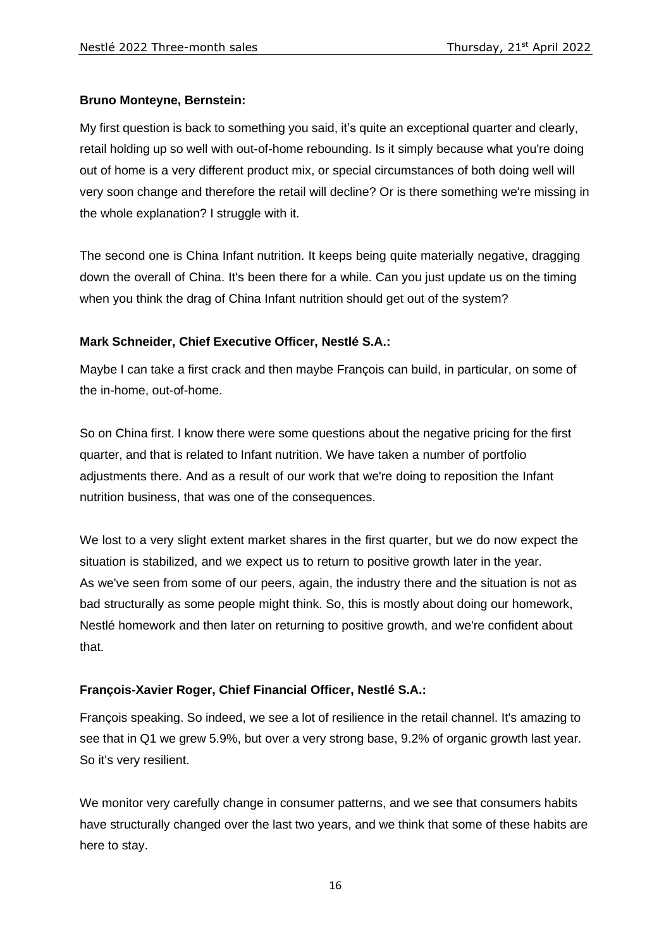# **Bruno Monteyne, Bernstein:**

My first question is back to something you said, it's quite an exceptional quarter and clearly, retail holding up so well with out-of-home rebounding. Is it simply because what you're doing out of home is a very different product mix, or special circumstances of both doing well will very soon change and therefore the retail will decline? Or is there something we're missing in the whole explanation? I struggle with it.

The second one is China Infant nutrition. It keeps being quite materially negative, dragging down the overall of China. It's been there for a while. Can you just update us on the timing when you think the drag of China Infant nutrition should get out of the system?

# **Mark Schneider, Chief Executive Officer, Nestlé S.A.:**

Maybe I can take a first crack and then maybe François can build, in particular, on some of the in-home, out-of-home.

So on China first. I know there were some questions about the negative pricing for the first quarter, and that is related to Infant nutrition. We have taken a number of portfolio adjustments there. And as a result of our work that we're doing to reposition the Infant nutrition business, that was one of the consequences.

We lost to a very slight extent market shares in the first quarter, but we do now expect the situation is stabilized, and we expect us to return to positive growth later in the year. As we've seen from some of our peers, again, the industry there and the situation is not as bad structurally as some people might think. So, this is mostly about doing our homework, Nestlé homework and then later on returning to positive growth, and we're confident about that.

# **François-Xavier Roger, Chief Financial Officer, Nestlé S.A.:**

François speaking. So indeed, we see a lot of resilience in the retail channel. It's amazing to see that in Q1 we grew 5.9%, but over a very strong base, 9.2% of organic growth last year. So it's very resilient.

We monitor very carefully change in consumer patterns, and we see that consumers habits have structurally changed over the last two years, and we think that some of these habits are here to stay.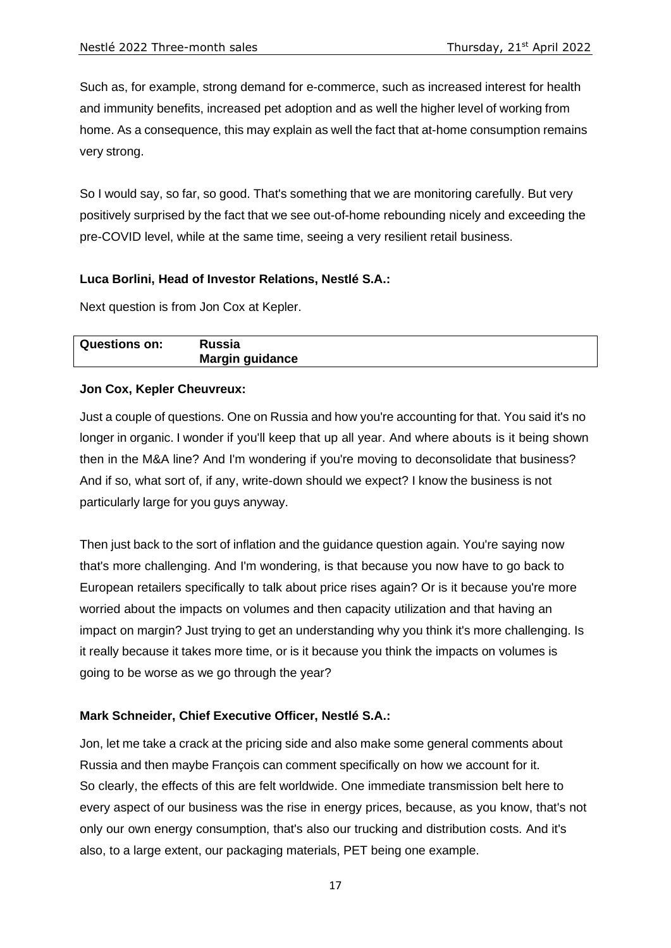Such as, for example, strong demand for e-commerce, such as increased interest for health and immunity benefits, increased pet adoption and as well the higher level of working from home. As a consequence, this may explain as well the fact that at-home consumption remains very strong.

So I would say, so far, so good. That's something that we are monitoring carefully. But very positively surprised by the fact that we see out-of-home rebounding nicely and exceeding the pre-COVID level, while at the same time, seeing a very resilient retail business.

### **Luca Borlini, Head of Investor Relations, Nestlé S.A.:**

Next question is from Jon Cox at Kepler.

| <b>Questions on:</b> | Russia                 |
|----------------------|------------------------|
|                      | <b>Margin guidance</b> |

#### **Jon Cox, Kepler Cheuvreux:**

Just a couple of questions. One on Russia and how you're accounting for that. You said it's no longer in organic. I wonder if you'll keep that up all year. And where abouts is it being shown then in the M&A line? And I'm wondering if you're moving to deconsolidate that business? And if so, what sort of, if any, write-down should we expect? I know the business is not particularly large for you guys anyway.

Then just back to the sort of inflation and the guidance question again. You're saying now that's more challenging. And I'm wondering, is that because you now have to go back to European retailers specifically to talk about price rises again? Or is it because you're more worried about the impacts on volumes and then capacity utilization and that having an impact on margin? Just trying to get an understanding why you think it's more challenging. Is it really because it takes more time, or is it because you think the impacts on volumes is going to be worse as we go through the year?

### **Mark Schneider, Chief Executive Officer, Nestlé S.A.:**

Jon, let me take a crack at the pricing side and also make some general comments about Russia and then maybe François can comment specifically on how we account for it. So clearly, the effects of this are felt worldwide. One immediate transmission belt here to every aspect of our business was the rise in energy prices, because, as you know, that's not only our own energy consumption, that's also our trucking and distribution costs. And it's also, to a large extent, our packaging materials, PET being one example.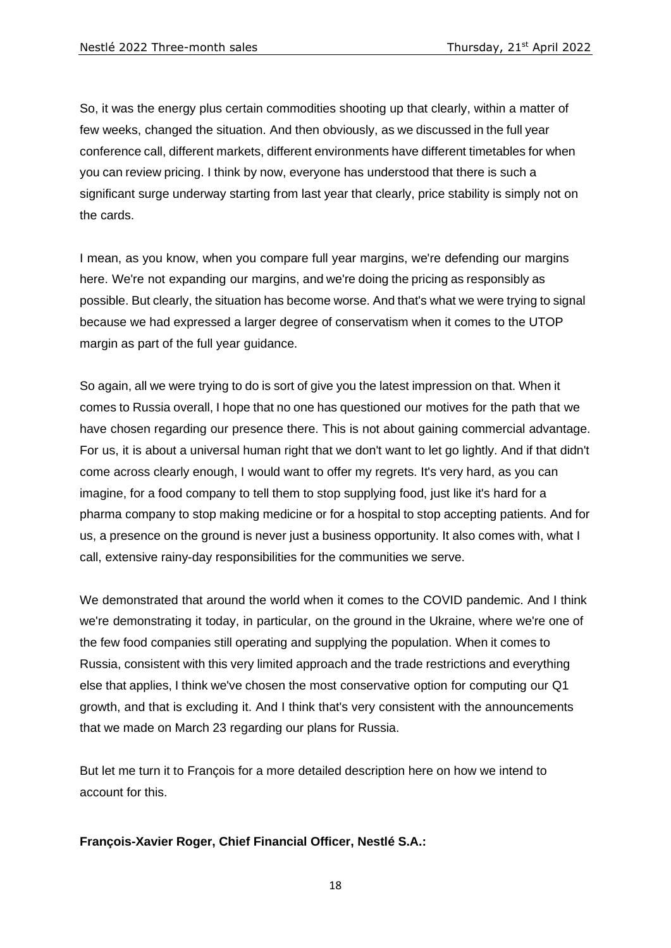So, it was the energy plus certain commodities shooting up that clearly, within a matter of few weeks, changed the situation. And then obviously, as we discussed in the full year conference call, different markets, different environments have different timetables for when you can review pricing. I think by now, everyone has understood that there is such a significant surge underway starting from last year that clearly, price stability is simply not on the cards.

I mean, as you know, when you compare full year margins, we're defending our margins here. We're not expanding our margins, and we're doing the pricing as responsibly as possible. But clearly, the situation has become worse. And that's what we were trying to signal because we had expressed a larger degree of conservatism when it comes to the UTOP margin as part of the full year guidance.

So again, all we were trying to do is sort of give you the latest impression on that. When it comes to Russia overall, I hope that no one has questioned our motives for the path that we have chosen regarding our presence there. This is not about gaining commercial advantage. For us, it is about a universal human right that we don't want to let go lightly. And if that didn't come across clearly enough, I would want to offer my regrets. It's very hard, as you can imagine, for a food company to tell them to stop supplying food, just like it's hard for a pharma company to stop making medicine or for a hospital to stop accepting patients. And for us, a presence on the ground is never just a business opportunity. It also comes with, what I call, extensive rainy-day responsibilities for the communities we serve.

We demonstrated that around the world when it comes to the COVID pandemic. And I think we're demonstrating it today, in particular, on the ground in the Ukraine, where we're one of the few food companies still operating and supplying the population. When it comes to Russia, consistent with this very limited approach and the trade restrictions and everything else that applies, I think we've chosen the most conservative option for computing our Q1 growth, and that is excluding it. And I think that's very consistent with the announcements that we made on March 23 regarding our plans for Russia.

But let me turn it to François for a more detailed description here on how we intend to account for this.

# **François-Xavier Roger, Chief Financial Officer, Nestlé S.A.:**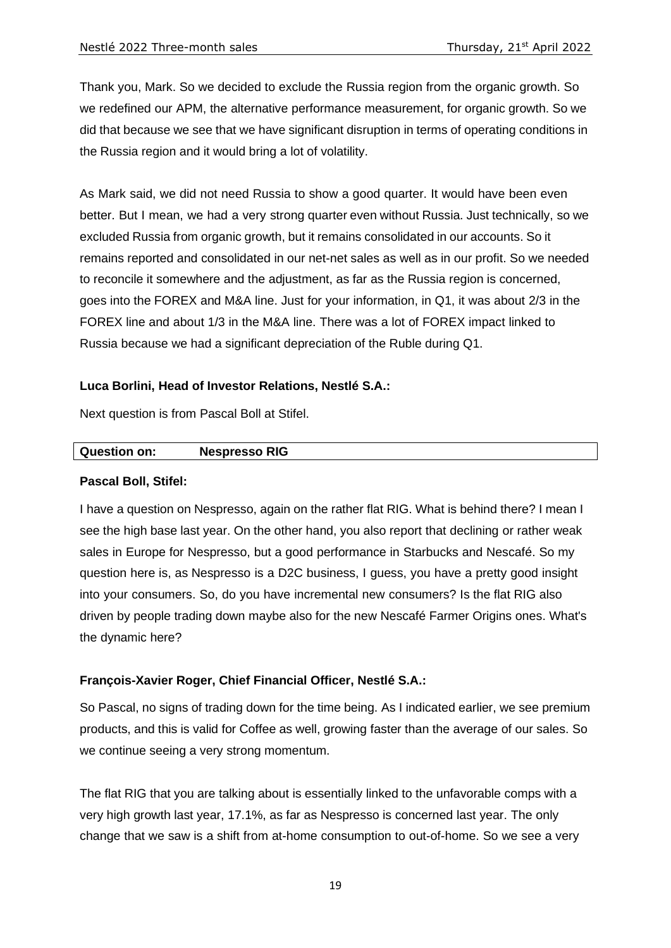Thank you, Mark. So we decided to exclude the Russia region from the organic growth. So we redefined our APM, the alternative performance measurement, for organic growth. So we did that because we see that we have significant disruption in terms of operating conditions in the Russia region and it would bring a lot of volatility.

As Mark said, we did not need Russia to show a good quarter. It would have been even better. But I mean, we had a very strong quarter even without Russia. Just technically, so we excluded Russia from organic growth, but it remains consolidated in our accounts. So it remains reported and consolidated in our net-net sales as well as in our profit. So we needed to reconcile it somewhere and the adjustment, as far as the Russia region is concerned, goes into the FOREX and M&A line. Just for your information, in Q1, it was about 2/3 in the FOREX line and about 1/3 in the M&A line. There was a lot of FOREX impact linked to Russia because we had a significant depreciation of the Ruble during Q1.

#### **Luca Borlini, Head of Investor Relations, Nestlé S.A.:**

Next question is from Pascal Boll at Stifel.

#### **Question on: Nespresso RIG**

#### **Pascal Boll, Stifel:**

I have a question on Nespresso, again on the rather flat RIG. What is behind there? I mean I see the high base last year. On the other hand, you also report that declining or rather weak sales in Europe for Nespresso, but a good performance in Starbucks and Nescafé. So my question here is, as Nespresso is a D2C business, I guess, you have a pretty good insight into your consumers. So, do you have incremental new consumers? Is the flat RIG also driven by people trading down maybe also for the new Nescafé Farmer Origins ones. What's the dynamic here?

#### **François-Xavier Roger, Chief Financial Officer, Nestlé S.A.:**

So Pascal, no signs of trading down for the time being. As I indicated earlier, we see premium products, and this is valid for Coffee as well, growing faster than the average of our sales. So we continue seeing a very strong momentum.

The flat RIG that you are talking about is essentially linked to the unfavorable comps with a very high growth last year, 17.1%, as far as Nespresso is concerned last year. The only change that we saw is a shift from at-home consumption to out-of-home. So we see a very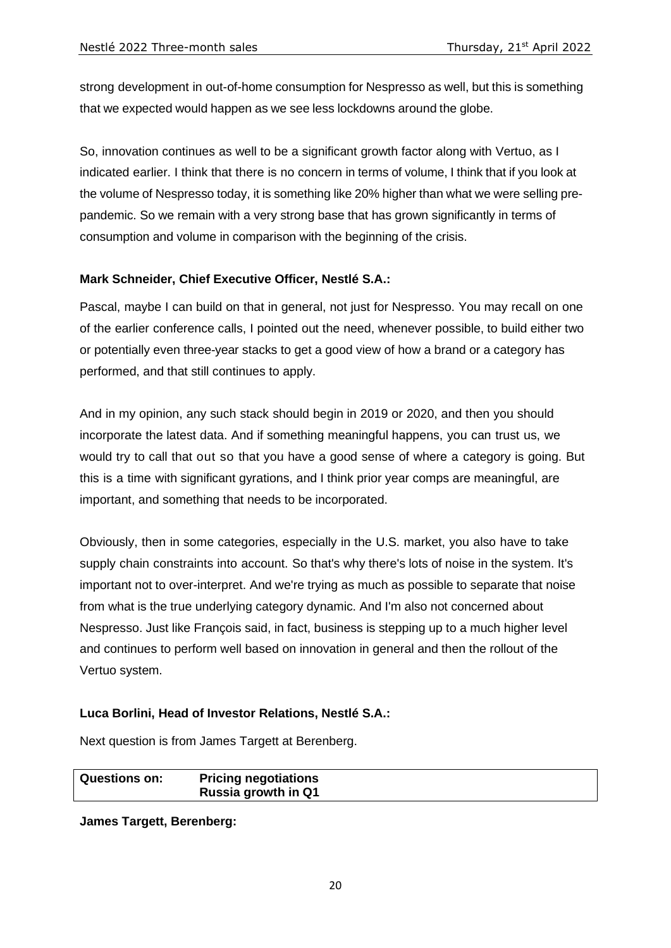strong development in out-of-home consumption for Nespresso as well, but this is something that we expected would happen as we see less lockdowns around the globe.

So, innovation continues as well to be a significant growth factor along with Vertuo, as I indicated earlier. I think that there is no concern in terms of volume, I think that if you look at the volume of Nespresso today, it is something like 20% higher than what we were selling prepandemic. So we remain with a very strong base that has grown significantly in terms of consumption and volume in comparison with the beginning of the crisis.

# **Mark Schneider, Chief Executive Officer, Nestlé S.A.:**

Pascal, maybe I can build on that in general, not just for Nespresso. You may recall on one of the earlier conference calls, I pointed out the need, whenever possible, to build either two or potentially even three-year stacks to get a good view of how a brand or a category has performed, and that still continues to apply.

And in my opinion, any such stack should begin in 2019 or 2020, and then you should incorporate the latest data. And if something meaningful happens, you can trust us, we would try to call that out so that you have a good sense of where a category is going. But this is a time with significant gyrations, and I think prior year comps are meaningful, are important, and something that needs to be incorporated.

Obviously, then in some categories, especially in the U.S. market, you also have to take supply chain constraints into account. So that's why there's lots of noise in the system. It's important not to over-interpret. And we're trying as much as possible to separate that noise from what is the true underlying category dynamic. And I'm also not concerned about Nespresso. Just like François said, in fact, business is stepping up to a much higher level and continues to perform well based on innovation in general and then the rollout of the Vertuo system.

### **Luca Borlini, Head of Investor Relations, Nestlé S.A.:**

Next question is from James Targett at Berenberg.

**Questions on: Pricing negotiations Russia growth in Q1**

**James Targett, Berenberg:**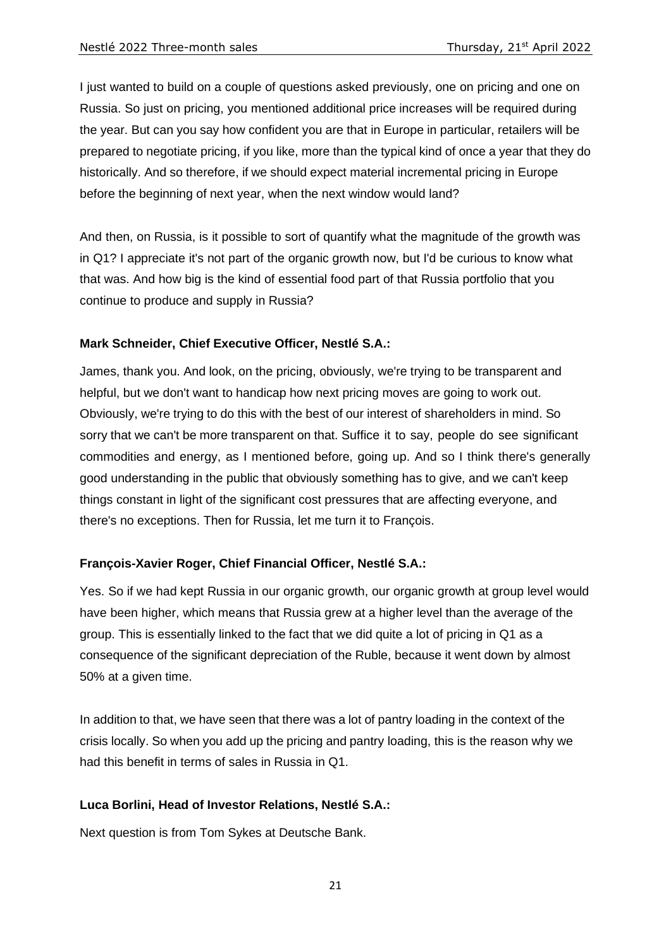I just wanted to build on a couple of questions asked previously, one on pricing and one on Russia. So just on pricing, you mentioned additional price increases will be required during the year. But can you say how confident you are that in Europe in particular, retailers will be prepared to negotiate pricing, if you like, more than the typical kind of once a year that they do historically. And so therefore, if we should expect material incremental pricing in Europe before the beginning of next year, when the next window would land?

And then, on Russia, is it possible to sort of quantify what the magnitude of the growth was in Q1? I appreciate it's not part of the organic growth now, but I'd be curious to know what that was. And how big is the kind of essential food part of that Russia portfolio that you continue to produce and supply in Russia?

# **Mark Schneider, Chief Executive Officer, Nestlé S.A.:**

James, thank you. And look, on the pricing, obviously, we're trying to be transparent and helpful, but we don't want to handicap how next pricing moves are going to work out. Obviously, we're trying to do this with the best of our interest of shareholders in mind. So sorry that we can't be more transparent on that. Suffice it to say, people do see significant commodities and energy, as I mentioned before, going up. And so I think there's generally good understanding in the public that obviously something has to give, and we can't keep things constant in light of the significant cost pressures that are affecting everyone, and there's no exceptions. Then for Russia, let me turn it to François.

### **François-Xavier Roger, Chief Financial Officer, Nestlé S.A.:**

Yes. So if we had kept Russia in our organic growth, our organic growth at group level would have been higher, which means that Russia grew at a higher level than the average of the group. This is essentially linked to the fact that we did quite a lot of pricing in Q1 as a consequence of the significant depreciation of the Ruble, because it went down by almost 50% at a given time.

In addition to that, we have seen that there was a lot of pantry loading in the context of the crisis locally. So when you add up the pricing and pantry loading, this is the reason why we had this benefit in terms of sales in Russia in Q1.

### **Luca Borlini, Head of Investor Relations, Nestlé S.A.:**

Next question is from Tom Sykes at Deutsche Bank.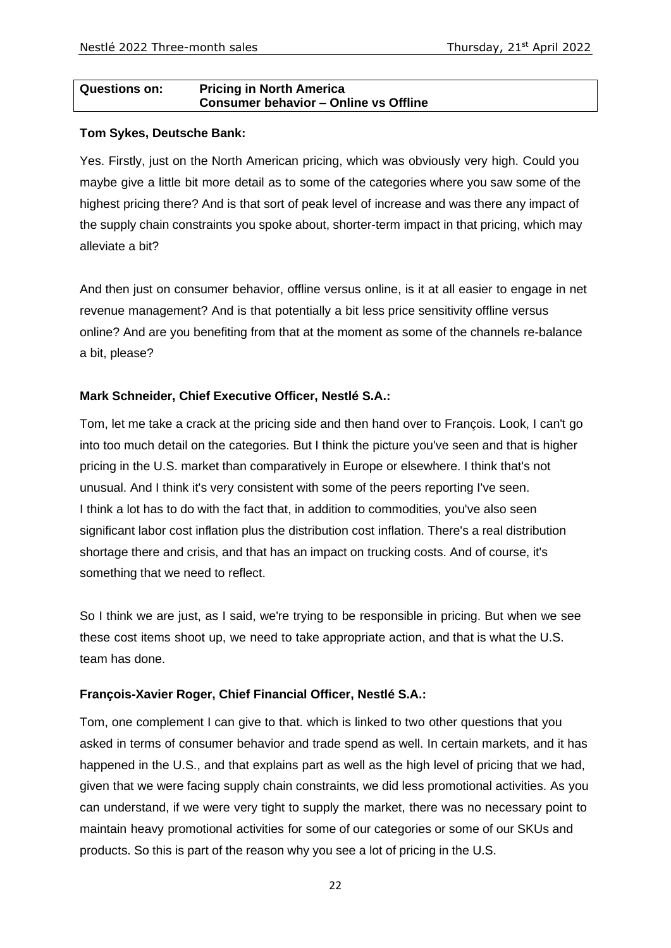#### **Questions on: Pricing in North America Consumer behavior – Online vs Offline**

#### **Tom Sykes, Deutsche Bank:**

Yes. Firstly, just on the North American pricing, which was obviously very high. Could you maybe give a little bit more detail as to some of the categories where you saw some of the highest pricing there? And is that sort of peak level of increase and was there any impact of the supply chain constraints you spoke about, shorter-term impact in that pricing, which may alleviate a bit?

And then just on consumer behavior, offline versus online, is it at all easier to engage in net revenue management? And is that potentially a bit less price sensitivity offline versus online? And are you benefiting from that at the moment as some of the channels re-balance a bit, please?

# **Mark Schneider, Chief Executive Officer, Nestlé S.A.:**

Tom, let me take a crack at the pricing side and then hand over to François. Look, I can't go into too much detail on the categories. But I think the picture you've seen and that is higher pricing in the U.S. market than comparatively in Europe or elsewhere. I think that's not unusual. And I think it's very consistent with some of the peers reporting I've seen. I think a lot has to do with the fact that, in addition to commodities, you've also seen significant labor cost inflation plus the distribution cost inflation. There's a real distribution shortage there and crisis, and that has an impact on trucking costs. And of course, it's something that we need to reflect.

So I think we are just, as I said, we're trying to be responsible in pricing. But when we see these cost items shoot up, we need to take appropriate action, and that is what the U.S. team has done.

### **François-Xavier Roger, Chief Financial Officer, Nestlé S.A.:**

Tom, one complement I can give to that. which is linked to two other questions that you asked in terms of consumer behavior and trade spend as well. In certain markets, and it has happened in the U.S., and that explains part as well as the high level of pricing that we had, given that we were facing supply chain constraints, we did less promotional activities. As you can understand, if we were very tight to supply the market, there was no necessary point to maintain heavy promotional activities for some of our categories or some of our SKUs and products. So this is part of the reason why you see a lot of pricing in the U.S.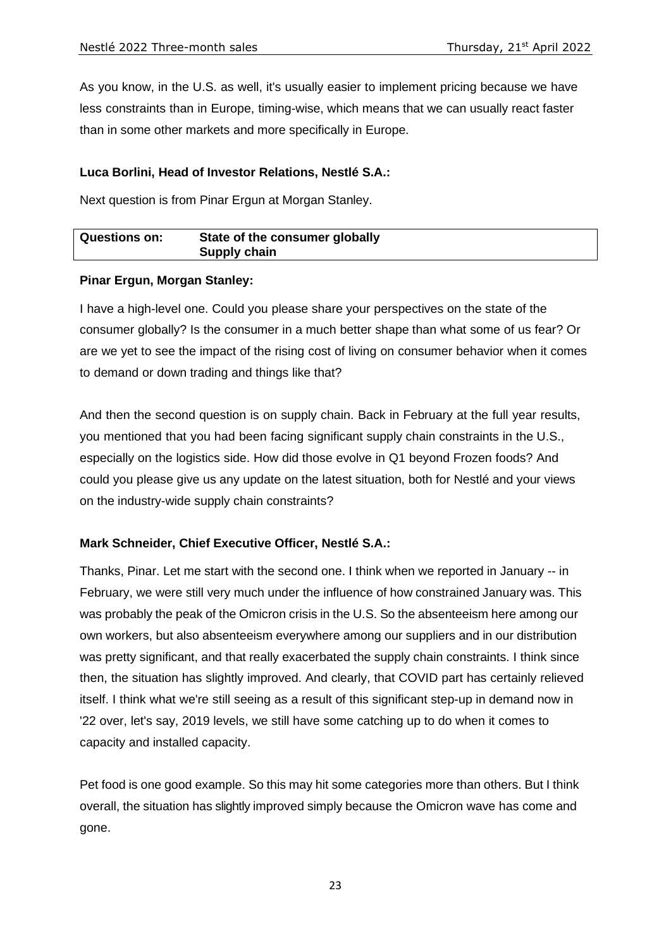As you know, in the U.S. as well, it's usually easier to implement pricing because we have less constraints than in Europe, timing-wise, which means that we can usually react faster than in some other markets and more specifically in Europe.

### **Luca Borlini, Head of Investor Relations, Nestlé S.A.:**

Next question is from Pinar Ergun at Morgan Stanley.

| <b>Questions on:</b> | State of the consumer globally |
|----------------------|--------------------------------|
|                      | Supply chain                   |

### **Pinar Ergun, Morgan Stanley:**

I have a high-level one. Could you please share your perspectives on the state of the consumer globally? Is the consumer in a much better shape than what some of us fear? Or are we yet to see the impact of the rising cost of living on consumer behavior when it comes to demand or down trading and things like that?

And then the second question is on supply chain. Back in February at the full year results, you mentioned that you had been facing significant supply chain constraints in the U.S., especially on the logistics side. How did those evolve in Q1 beyond Frozen foods? And could you please give us any update on the latest situation, both for Nestlé and your views on the industry-wide supply chain constraints?

# **Mark Schneider, Chief Executive Officer, Nestlé S.A.:**

Thanks, Pinar. Let me start with the second one. I think when we reported in January -- in February, we were still very much under the influence of how constrained January was. This was probably the peak of the Omicron crisis in the U.S. So the absenteeism here among our own workers, but also absenteeism everywhere among our suppliers and in our distribution was pretty significant, and that really exacerbated the supply chain constraints. I think since then, the situation has slightly improved. And clearly, that COVID part has certainly relieved itself. I think what we're still seeing as a result of this significant step-up in demand now in '22 over, let's say, 2019 levels, we still have some catching up to do when it comes to capacity and installed capacity.

Pet food is one good example. So this may hit some categories more than others. But I think overall, the situation has slightly improved simply because the Omicron wave has come and gone.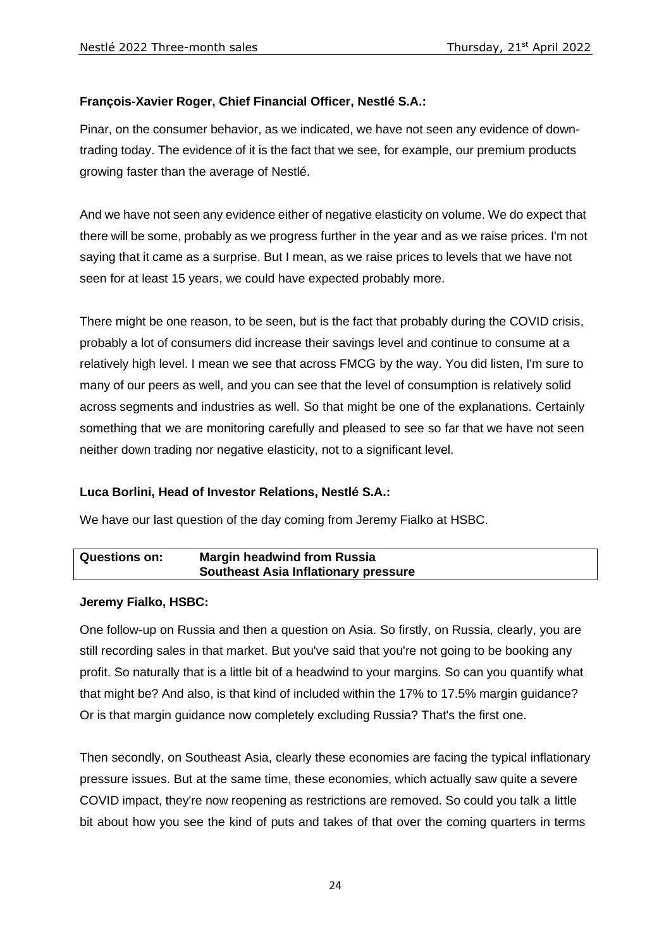# **François-Xavier Roger, Chief Financial Officer, Nestlé S.A.:**

Pinar, on the consumer behavior, as we indicated, we have not seen any evidence of downtrading today. The evidence of it is the fact that we see, for example, our premium products growing faster than the average of Nestlé.

And we have not seen any evidence either of negative elasticity on volume. We do expect that there will be some, probably as we progress further in the year and as we raise prices. I'm not saying that it came as a surprise. But I mean, as we raise prices to levels that we have not seen for at least 15 years, we could have expected probably more.

There might be one reason, to be seen, but is the fact that probably during the COVID crisis, probably a lot of consumers did increase their savings level and continue to consume at a relatively high level. I mean we see that across FMCG by the way. You did listen, I'm sure to many of our peers as well, and you can see that the level of consumption is relatively solid across segments and industries as well. So that might be one of the explanations. Certainly something that we are monitoring carefully and pleased to see so far that we have not seen neither down trading nor negative elasticity, not to a significant level.

### **Luca Borlini, Head of Investor Relations, Nestlé S.A.:**

We have our last question of the day coming from Jeremy Fialko at HSBC.

| <b>Questions on:</b> | <b>Margin headwind from Russia</b>          |  |
|----------------------|---------------------------------------------|--|
|                      | <b>Southeast Asia Inflationary pressure</b> |  |

### **Jeremy Fialko, HSBC:**

One follow-up on Russia and then a question on Asia. So firstly, on Russia, clearly, you are still recording sales in that market. But you've said that you're not going to be booking any profit. So naturally that is a little bit of a headwind to your margins. So can you quantify what that might be? And also, is that kind of included within the 17% to 17.5% margin guidance? Or is that margin guidance now completely excluding Russia? That's the first one.

Then secondly, on Southeast Asia, clearly these economies are facing the typical inflationary pressure issues. But at the same time, these economies, which actually saw quite a severe COVID impact, they're now reopening as restrictions are removed. So could you talk a little bit about how you see the kind of puts and takes of that over the coming quarters in terms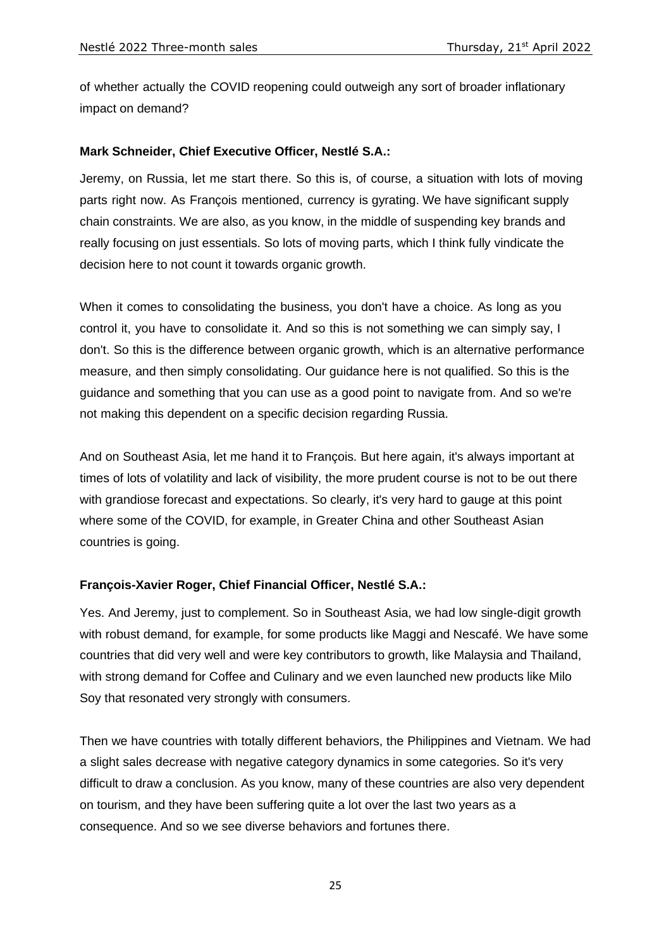of whether actually the COVID reopening could outweigh any sort of broader inflationary impact on demand?

# **Mark Schneider, Chief Executive Officer, Nestlé S.A.:**

Jeremy, on Russia, let me start there. So this is, of course, a situation with lots of moving parts right now. As François mentioned, currency is gyrating. We have significant supply chain constraints. We are also, as you know, in the middle of suspending key brands and really focusing on just essentials. So lots of moving parts, which I think fully vindicate the decision here to not count it towards organic growth.

When it comes to consolidating the business, you don't have a choice. As long as you control it, you have to consolidate it. And so this is not something we can simply say, I don't. So this is the difference between organic growth, which is an alternative performance measure, and then simply consolidating. Our guidance here is not qualified. So this is the guidance and something that you can use as a good point to navigate from. And so we're not making this dependent on a specific decision regarding Russia.

And on Southeast Asia, let me hand it to François. But here again, it's always important at times of lots of volatility and lack of visibility, the more prudent course is not to be out there with grandiose forecast and expectations. So clearly, it's very hard to gauge at this point where some of the COVID, for example, in Greater China and other Southeast Asian countries is going.

### **François-Xavier Roger, Chief Financial Officer, Nestlé S.A.:**

Yes. And Jeremy, just to complement. So in Southeast Asia, we had low single-digit growth with robust demand, for example, for some products like Maggi and Nescafé. We have some countries that did very well and were key contributors to growth, like Malaysia and Thailand, with strong demand for Coffee and Culinary and we even launched new products like Milo Soy that resonated very strongly with consumers.

Then we have countries with totally different behaviors, the Philippines and Vietnam. We had a slight sales decrease with negative category dynamics in some categories. So it's very difficult to draw a conclusion. As you know, many of these countries are also very dependent on tourism, and they have been suffering quite a lot over the last two years as a consequence. And so we see diverse behaviors and fortunes there.

25